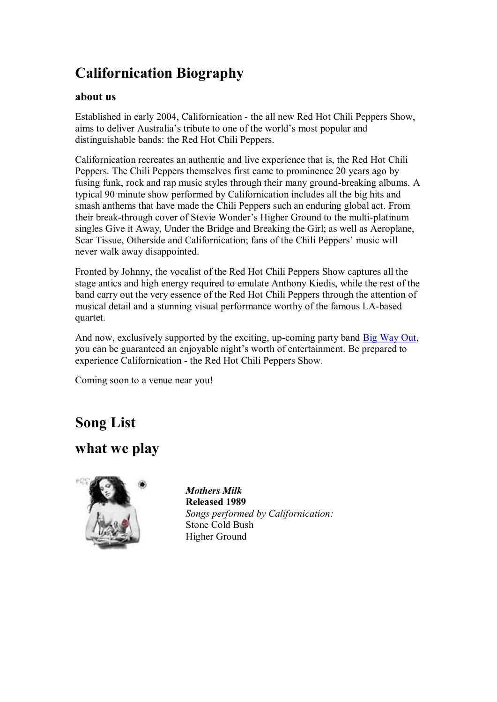# **Californication Biography**

#### **about us**

Established in early 2004, Californication the all new Red Hot Chili Peppers Show, aims to deliver Australia's tribute to one of the world's most popular and distinguishable bands: the Red Hot Chili Peppers.

Californication recreates an authentic and live experience that is, the Red Hot Chili Peppers. The Chili Peppers themselves first came to prominence 20 years ago by fusing funk, rock and rap music styles through their many ground-breaking albums. A typical 90 minute show performed by Californication includes all the big hits and smash anthems that have made the Chili Peppers such an enduring global act. From their break-through cover of Stevie Wonder's Higher Ground to the multi-platinum singles Give it Away, Under the Bridge and Breaking the Girl; as well as Aeroplane, Scar Tissue, Otherside and Californication; fans of the Chili Peppers' music will never walk away disappointed.

Fronted by Johnny, the vocalist of the Red Hot Chili Peppers Show captures all the stage antics and high energy required to emulate Anthony Kiedis, while the rest of the band carry out the very essence of the Red Hot Chili Peppers through the attention of musical detail and a stunning visual performance worthy of the famous LA-based quartet.

And now, exclusively supported by the exciting, up-coming party band [Big Way](http://www.bigwayout.com.au/biography_entry.html) Out, you can be guaranteed an enjoyable night's worth of entertainment. Be prepared to experience Californication - the Red Hot Chili Peppers Show.

Coming soon to a venue near you!

# **Song List**

### **what we play**



*Mothers Milk* **Released 1989** *Songs performed by Californication:* Stone Cold Bush Higher Ground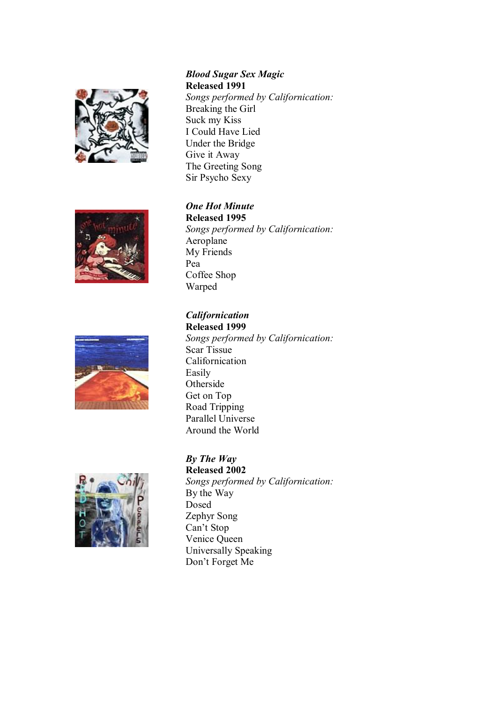







### *Blood Sugar Sex Magic* **Released 1991**

*Songs performed by Californication:* Breaking the Girl Suck my Kiss I Could Have Lied Under the Bridge Give it Away The Greeting Song Sir Psycho Sexy

*One Hot Minute* **Released 1995** *Songs performed by Californication:* Aeroplane My Friends Pea Coffee Shop Warped

### *Californication*

**Released 1999** *Songs performed by Californication:* Scar Tissue Californication Easily Otherside Get on Top Road Tripping Parallel Universe Around the World

**Released 2002** *Songs performed by Californication:* By the Way Dosed Zephyr Song Can't Stop Venice Queen Universally Speaking Don't Forget Me

# *By The Way*